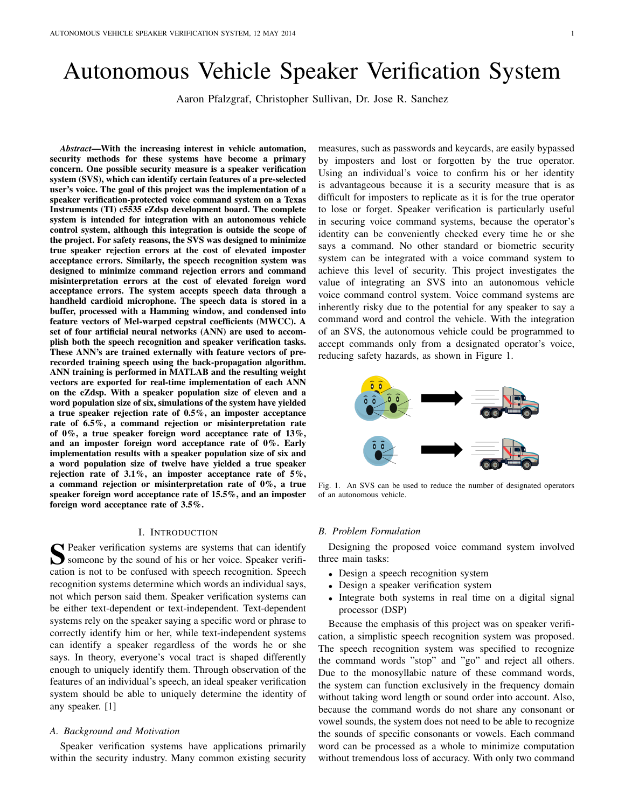# Autonomous Vehicle Speaker Verification System

Aaron Pfalzgraf, Christopher Sullivan, Dr. Jose R. Sanchez

*Abstract*—With the increasing interest in vehicle automation, security methods for these systems have become a primary concern. One possible security measure is a speaker verification system (SVS), which can identify certain features of a pre-selected user's voice. The goal of this project was the implementation of a speaker verification-protected voice command system on a Texas Instruments (TI) c5535 eZdsp development board. The complete system is intended for integration with an autonomous vehicle control system, although this integration is outside the scope of the project. For safety reasons, the SVS was designed to minimize true speaker rejection errors at the cost of elevated imposter acceptance errors. Similarly, the speech recognition system was designed to minimize command rejection errors and command misinterpretation errors at the cost of elevated foreign word acceptance errors. The system accepts speech data through a handheld cardioid microphone. The speech data is stored in a buffer, processed with a Hamming window, and condensed into feature vectors of Mel-warped cepstral coefficients (MWCC). A set of four artificial neural networks (ANN) are used to accomplish both the speech recognition and speaker verification tasks. These ANN's are trained externally with feature vectors of prerecorded training speech using the back-propagation algorithm. ANN training is performed in MATLAB and the resulting weight vectors are exported for real-time implementation of each ANN on the eZdsp. With a speaker population size of eleven and a word population size of six, simulations of the system have yielded a true speaker rejection rate of 0.5%, an imposter acceptance rate of 6.5%, a command rejection or misinterpretation rate of 0%, a true speaker foreign word acceptance rate of 13%, and an imposter foreign word acceptance rate of 0%. Early implementation results with a speaker population size of six and a word population size of twelve have yielded a true speaker rejection rate of  $3.1\%$ , an imposter acceptance rate of  $5\%$ , a command rejection or misinterpretation rate of 0%, a true speaker foreign word acceptance rate of 15.5%, and an imposter foreign word acceptance rate of 3.5%.

## I. INTRODUCTION

S Peaker verification systems are systems that can identify<br>
Someone by the sound of his or her voice. Speaker verifisomeone by the sound of his or her voice. Speaker verification is not to be confused with speech recognition. Speech recognition systems determine which words an individual says, not which person said them. Speaker verification systems can be either text-dependent or text-independent. Text-dependent systems rely on the speaker saying a specific word or phrase to correctly identify him or her, while text-independent systems can identify a speaker regardless of the words he or she says. In theory, everyone's vocal tract is shaped differently enough to uniquely identify them. Through observation of the features of an individual's speech, an ideal speaker verification system should be able to uniquely determine the identity of any speaker. [1]

## *A. Background and Motivation*

Speaker verification systems have applications primarily within the security industry. Many common existing security measures, such as passwords and keycards, are easily bypassed by imposters and lost or forgotten by the true operator. Using an individual's voice to confirm his or her identity is advantageous because it is a security measure that is as difficult for imposters to replicate as it is for the true operator to lose or forget. Speaker verification is particularly useful in securing voice command systems, because the operator's identity can be conveniently checked every time he or she says a command. No other standard or biometric security system can be integrated with a voice command system to achieve this level of security. This project investigates the value of integrating an SVS into an autonomous vehicle voice command control system. Voice command systems are inherently risky due to the potential for any speaker to say a command word and control the vehicle. With the integration of an SVS, the autonomous vehicle could be programmed to accept commands only from a designated operator's voice, reducing safety hazards, as shown in Figure 1.



Fig. 1. An SVS can be used to reduce the number of designated operators of an autonomous vehicle.

## *B. Problem Formulation*

Designing the proposed voice command system involved three main tasks:

- Design a speech recognition system
- Design a speaker verification system
- Integrate both systems in real time on a digital signal processor (DSP)

Because the emphasis of this project was on speaker verification, a simplistic speech recognition system was proposed. The speech recognition system was specified to recognize the command words "stop" and "go" and reject all others. Due to the monosyllabic nature of these command words, the system can function exclusively in the frequency domain without taking word length or sound order into account. Also, because the command words do not share any consonant or vowel sounds, the system does not need to be able to recognize the sounds of specific consonants or vowels. Each command word can be processed as a whole to minimize computation without tremendous loss of accuracy. With only two command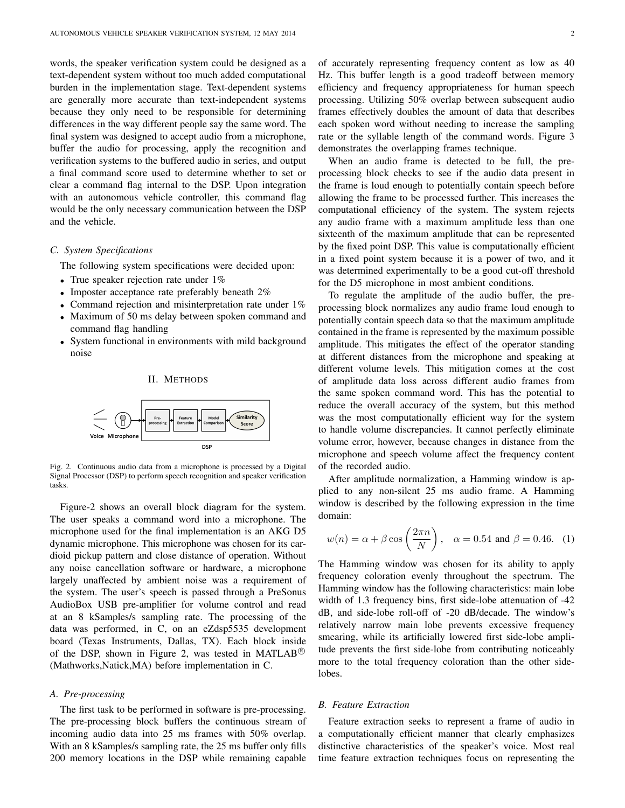words, the speaker verification system could be designed as a text-dependent system without too much added computational burden in the implementation stage. Text-dependent systems are generally more accurate than text-independent systems because they only need to be responsible for determining differences in the way different people say the same word. The final system was designed to accept audio from a microphone, buffer the audio for processing, apply the recognition and verification systems to the buffered audio in series, and output a final command score used to determine whether to set or clear a command flag internal to the DSP. Upon integration with an autonomous vehicle controller, this command flag would be the only necessary communication between the DSP and the vehicle.

## *C. System Specifications*

The following system specifications were decided upon:

- True speaker rejection rate under 1%
- Imposter acceptance rate preferably beneath 2%
- Command rejection and misinterpretation rate under 1%
- Maximum of 50 ms delay between spoken command and command flag handling
- System functional in environments with mild background noise



Fig. 2. Continuous audio data from a microphone is processed by a Digital Signal Processor (DSP) to perform speech recognition and speaker verification tasks.

Figure-2 shows an overall block diagram for the system. The user speaks a command word into a microphone. The microphone used for the final implementation is an AKG D5 dynamic microphone. This microphone was chosen for its cardioid pickup pattern and close distance of operation. Without any noise cancellation software or hardware, a microphone largely unaffected by ambient noise was a requirement of the system. The user's speech is passed through a PreSonus AudioBox USB pre-amplifier for volume control and read at an 8 kSamples/s sampling rate. The processing of the data was performed, in C, on an eZdsp5535 development board (Texas Instruments, Dallas, TX). Each block inside of the DSP, shown in Figure 2, was tested in MATLAB<sup>®</sup> (Mathworks,Natick,MA) before implementation in C.

## *A. Pre-processing*

The first task to be performed in software is pre-processing. The pre-processing block buffers the continuous stream of incoming audio data into 25 ms frames with 50% overlap. With an 8 kSamples/s sampling rate, the 25 ms buffer only fills 200 memory locations in the DSP while remaining capable

of accurately representing frequency content as low as 40 Hz. This buffer length is a good tradeoff between memory efficiency and frequency appropriateness for human speech processing. Utilizing 50% overlap between subsequent audio frames effectively doubles the amount of data that describes each spoken word without needing to increase the sampling rate or the syllable length of the command words. Figure 3 demonstrates the overlapping frames technique.

When an audio frame is detected to be full, the preprocessing block checks to see if the audio data present in the frame is loud enough to potentially contain speech before allowing the frame to be processed further. This increases the computational efficiency of the system. The system rejects any audio frame with a maximum amplitude less than one sixteenth of the maximum amplitude that can be represented by the fixed point DSP. This value is computationally efficient in a fixed point system because it is a power of two, and it was determined experimentally to be a good cut-off threshold for the D5 microphone in most ambient conditions.

To regulate the amplitude of the audio buffer, the preprocessing block normalizes any audio frame loud enough to potentially contain speech data so that the maximum amplitude contained in the frame is represented by the maximum possible amplitude. This mitigates the effect of the operator standing at different distances from the microphone and speaking at different volume levels. This mitigation comes at the cost of amplitude data loss across different audio frames from the same spoken command word. This has the potential to reduce the overall accuracy of the system, but this method was the most computationally efficient way for the system to handle volume discrepancies. It cannot perfectly eliminate volume error, however, because changes in distance from the microphone and speech volume affect the frequency content of the recorded audio.

After amplitude normalization, a Hamming window is applied to any non-silent 25 ms audio frame. A Hamming window is described by the following expression in the time domain:

$$
w(n) = \alpha + \beta \cos\left(\frac{2\pi n}{N}\right), \quad \alpha = 0.54 \text{ and } \beta = 0.46. \tag{1}
$$

The Hamming window was chosen for its ability to apply frequency coloration evenly throughout the spectrum. The Hamming window has the following characteristics: main lobe width of 1.3 frequency bins, first side-lobe attenuation of -42 dB, and side-lobe roll-off of -20 dB/decade. The window's relatively narrow main lobe prevents excessive frequency smearing, while its artificially lowered first side-lobe amplitude prevents the first side-lobe from contributing noticeably more to the total frequency coloration than the other sidelobes.

## *B. Feature Extraction*

Feature extraction seeks to represent a frame of audio in a computationally efficient manner that clearly emphasizes distinctive characteristics of the speaker's voice. Most real time feature extraction techniques focus on representing the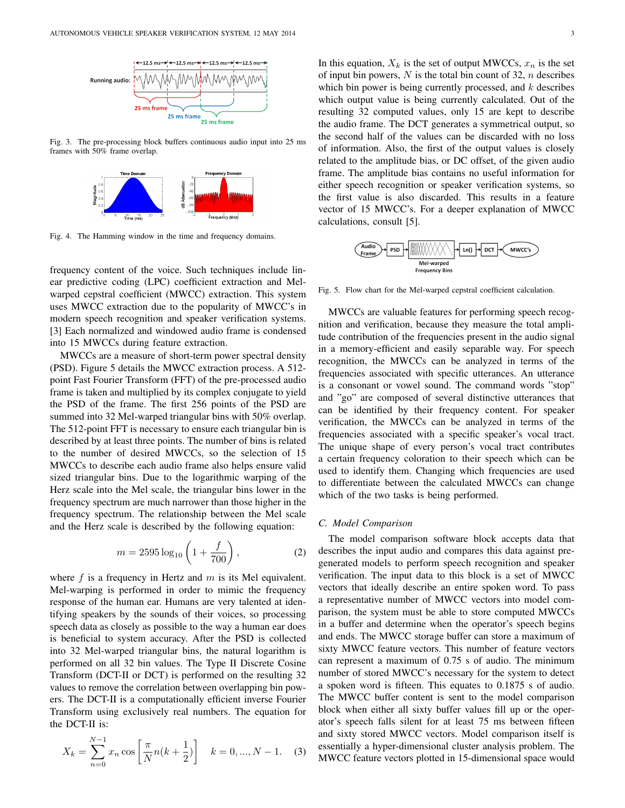

Fig. 3. The pre-processing block buffers continuous audio input into 25 ms frames with 50% frame overlap.



Fig. 4. The Hamming window in the time and frequency domains.

frequency content of the voice. Such techniques include linear predictive coding (LPC) coefficient extraction and Melwarped cepstral coefficient (MWCC) extraction. This system uses MWCC extraction due to the popularity of MWCC's in modern speech recognition and speaker verification systems. [3] Each normalized and windowed audio frame is condensed into 15 MWCCs during feature extraction.

MWCCs are a measure of short-term power spectral density (PSD). Figure 5 details the MWCC extraction process. A 512 point Fast Fourier Transform (FFT) of the pre-processed audio frame is taken and multiplied by its complex conjugate to yield the PSD of the frame. The first 256 points of the PSD are summed into 32 Mel-warped triangular bins with 50% overlap. The 512-point FFT is necessary to ensure each triangular bin is described by at least three points. The number of bins is related to the number of desired MWCCs, so the selection of 15 MWCCs to describe each audio frame also helps ensure valid sized triangular bins. Due to the logarithmic warping of the Herz scale into the Mel scale, the triangular bins lower in the frequency spectrum are much narrower than those higher in the frequency spectrum. The relationship between the Mel scale and the Herz scale is described by the following equation:

$$
m = 2595 \log_{10} \left( 1 + \frac{f}{700} \right),\tag{2}
$$

where  $f$  is a frequency in Hertz and  $m$  is its Mel equivalent. Mel-warping is performed in order to mimic the frequency response of the human ear. Humans are very talented at identifying speakers by the sounds of their voices, so processing speech data as closely as possible to the way a human ear does is beneficial to system accuracy. After the PSD is collected into 32 Mel-warped triangular bins, the natural logarithm is performed on all 32 bin values. The Type II Discrete Cosine Transform (DCT-II or DCT) is performed on the resulting 32 values to remove the correlation between overlapping bin powers. The DCT-II is a computationally efficient inverse Fourier Transform using exclusively real numbers. The equation for the DCT-II is:

$$
X_k = \sum_{n=0}^{N-1} x_n \cos\left[\frac{\pi}{N}n(k+\frac{1}{2})\right] \quad k = 0, ..., N-1.
$$
 (3)

In this equation,  $X_k$  is the set of output MWCCs,  $x_n$  is the set of input bin powers,  $N$  is the total bin count of 32,  $n$  describes which bin power is being currently processed, and  $k$  describes which output value is being currently calculated. Out of the resulting 32 computed values, only 15 are kept to describe the audio frame. The DCT generates a symmetrical output, so the second half of the values can be discarded with no loss of information. Also, the first of the output values is closely related to the amplitude bias, or DC offset, of the given audio frame. The amplitude bias contains no useful information for either speech recognition or speaker verification systems, so the first value is also discarded. This results in a feature vector of 15 MWCC's. For a deeper explanation of MWCC calculations, consult [5].



Fig. 5. Flow chart for the Mel-warped cepstral coefficient calculation.

MWCCs are valuable features for performing speech recognition and verification, because they measure the total amplitude contribution of the frequencies present in the audio signal in a memory-efficient and easily separable way. For speech recognition, the MWCCs can be analyzed in terms of the frequencies associated with specific utterances. An utterance is a consonant or vowel sound. The command words "stop" and "go" are composed of several distinctive utterances that can be identified by their frequency content. For speaker verification, the MWCCs can be analyzed in terms of the frequencies associated with a specific speaker's vocal tract. The unique shape of every person's vocal tract contributes a certain frequency coloration to their speech which can be used to identify them. Changing which frequencies are used to differentiate between the calculated MWCCs can change which of the two tasks is being performed.

## *C. Model Comparison*

The model comparison software block accepts data that describes the input audio and compares this data against pregenerated models to perform speech recognition and speaker verification. The input data to this block is a set of MWCC vectors that ideally describe an entire spoken word. To pass a representative number of MWCC vectors into model comparison, the system must be able to store computed MWCCs in a buffer and determine when the operator's speech begins and ends. The MWCC storage buffer can store a maximum of sixty MWCC feature vectors. This number of feature vectors can represent a maximum of 0.75 s of audio. The minimum number of stored MWCC's necessary for the system to detect a spoken word is fifteen. This equates to 0.1875 s of audio. The MWCC buffer content is sent to the model comparison block when either all sixty buffer values fill up or the operator's speech falls silent for at least 75 ms between fifteen and sixty stored MWCC vectors. Model comparison itself is essentially a hyper-dimensional cluster analysis problem. The MWCC feature vectors plotted in 15-dimensional space would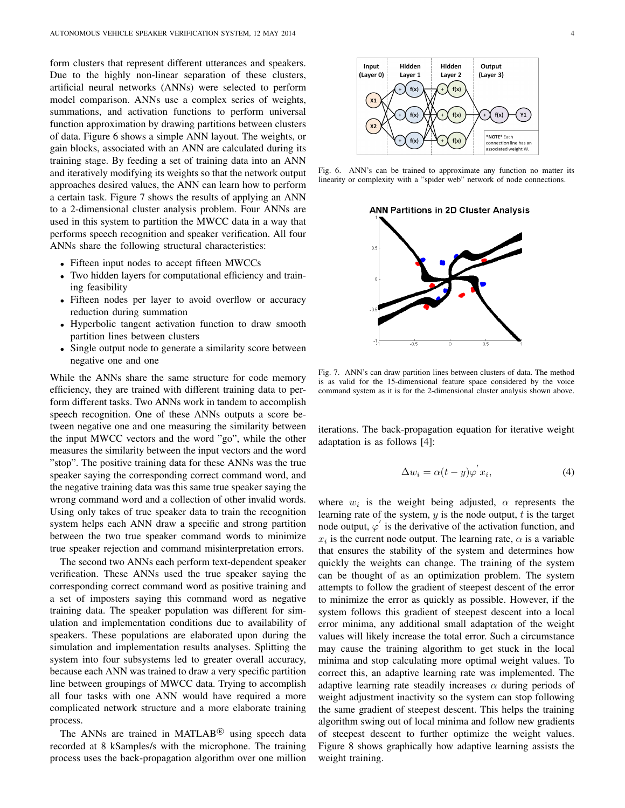form clusters that represent different utterances and speakers. Due to the highly non-linear separation of these clusters, artificial neural networks (ANNs) were selected to perform model comparison. ANNs use a complex series of weights, summations, and activation functions to perform universal function approximation by drawing partitions between clusters of data. Figure 6 shows a simple ANN layout. The weights, or gain blocks, associated with an ANN are calculated during its training stage. By feeding a set of training data into an ANN and iteratively modifying its weights so that the network output approaches desired values, the ANN can learn how to perform a certain task. Figure 7 shows the results of applying an ANN to a 2-dimensional cluster analysis problem. Four ANNs are used in this system to partition the MWCC data in a way that performs speech recognition and speaker verification. All four ANNs share the following structural characteristics:

- Fifteen input nodes to accept fifteen MWCCs
- Two hidden layers for computational efficiency and training feasibility
- Fifteen nodes per layer to avoid overflow or accuracy reduction during summation
- Hyperbolic tangent activation function to draw smooth partition lines between clusters
- Single output node to generate a similarity score between negative one and one

While the ANNs share the same structure for code memory efficiency, they are trained with different training data to perform different tasks. Two ANNs work in tandem to accomplish speech recognition. One of these ANNs outputs a score between negative one and one measuring the similarity between the input MWCC vectors and the word "go", while the other measures the similarity between the input vectors and the word "stop". The positive training data for these ANNs was the true speaker saying the corresponding correct command word, and the negative training data was this same true speaker saying the wrong command word and a collection of other invalid words. Using only takes of true speaker data to train the recognition system helps each ANN draw a specific and strong partition between the two true speaker command words to minimize true speaker rejection and command misinterpretation errors.

The second two ANNs each perform text-dependent speaker verification. These ANNs used the true speaker saying the corresponding correct command word as positive training and a set of imposters saying this command word as negative training data. The speaker population was different for simulation and implementation conditions due to availability of speakers. These populations are elaborated upon during the simulation and implementation results analyses. Splitting the system into four subsystems led to greater overall accuracy, because each ANN was trained to draw a very specific partition line between groupings of MWCC data. Trying to accomplish all four tasks with one ANN would have required a more complicated network structure and a more elaborate training process.

The ANNs are trained in MATLAB $^{\circledR}$  using speech data recorded at 8 kSamples/s with the microphone. The training process uses the back-propagation algorithm over one million



Fig. 6. ANN's can be trained to approximate any function no matter its linearity or complexity with a "spider web" network of node connections.

**ANN Partitions in 2D Cluster Analysis** 



Fig. 7. ANN's can draw partition lines between clusters of data. The method is as valid for the 15-dimensional feature space considered by the voice command system as it is for the 2-dimensional cluster analysis shown above.

iterations. The back-propagation equation for iterative weight adaptation is as follows [4]:

$$
\Delta w_i = \alpha (t - y) \varphi^{'} x_i,\tag{4}
$$

where  $w_i$  is the weight being adjusted,  $\alpha$  represents the learning rate of the system,  $y$  is the node output,  $t$  is the target node output,  $\varphi'$  is the derivative of the activation function, and  $x_i$  is the current node output. The learning rate,  $\alpha$  is a variable that ensures the stability of the system and determines how quickly the weights can change. The training of the system can be thought of as an optimization problem. The system attempts to follow the gradient of steepest descent of the error to minimize the error as quickly as possible. However, if the system follows this gradient of steepest descent into a local error minima, any additional small adaptation of the weight values will likely increase the total error. Such a circumstance may cause the training algorithm to get stuck in the local minima and stop calculating more optimal weight values. To correct this, an adaptive learning rate was implemented. The adaptive learning rate steadily increases  $\alpha$  during periods of weight adjustment inactivity so the system can stop following the same gradient of steepest descent. This helps the training algorithm swing out of local minima and follow new gradients of steepest descent to further optimize the weight values. Figure 8 shows graphically how adaptive learning assists the weight training.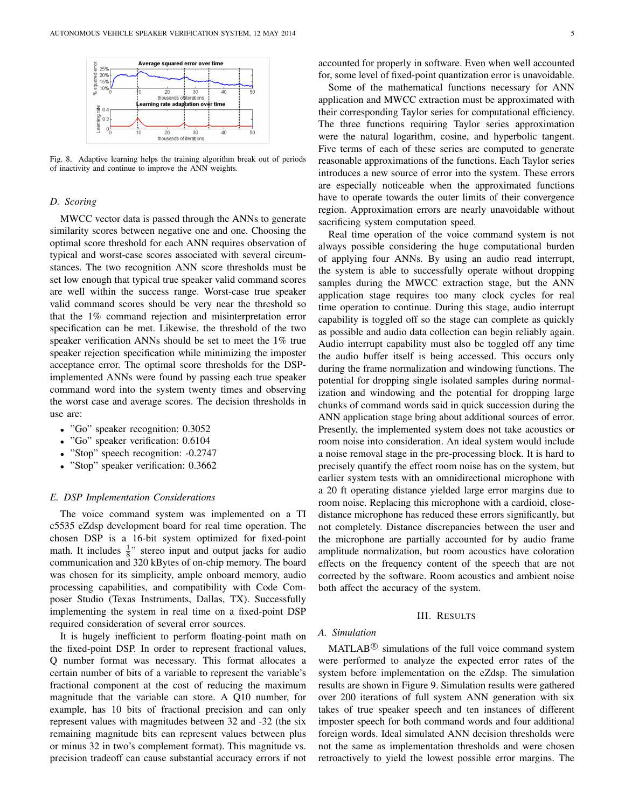

Fig. 8. Adaptive learning helps the training algorithm break out of periods of inactivity and continue to improve the ANN weights.

## *D. Scoring*

MWCC vector data is passed through the ANNs to generate similarity scores between negative one and one. Choosing the optimal score threshold for each ANN requires observation of typical and worst-case scores associated with several circumstances. The two recognition ANN score thresholds must be set low enough that typical true speaker valid command scores are well within the success range. Worst-case true speaker valid command scores should be very near the threshold so that the 1% command rejection and misinterpretation error specification can be met. Likewise, the threshold of the two speaker verification ANNs should be set to meet the 1% true speaker rejection specification while minimizing the imposter acceptance error. The optimal score thresholds for the DSPimplemented ANNs were found by passing each true speaker command word into the system twenty times and observing the worst case and average scores. The decision thresholds in use are:

- "Go" speaker recognition: 0.3052
- "Go" speaker verification: 0.6104
- "Stop" speech recognition: -0.2747
- "Stop" speaker verification: 0.3662

## *E. DSP Implementation Considerations*

The voice command system was implemented on a TI c5535 eZdsp development board for real time operation. The chosen DSP is a 16-bit system optimized for fixed-point math. It includes  $\frac{1}{8}$ " stereo input and output jacks for audio communication and 320 kBytes of on-chip memory. The board was chosen for its simplicity, ample onboard memory, audio processing capabilities, and compatibility with Code Composer Studio (Texas Instruments, Dallas, TX). Successfully implementing the system in real time on a fixed-point DSP required consideration of several error sources.

It is hugely inefficient to perform floating-point math on the fixed-point DSP. In order to represent fractional values, Q number format was necessary. This format allocates a certain number of bits of a variable to represent the variable's fractional component at the cost of reducing the maximum magnitude that the variable can store. A Q10 number, for example, has 10 bits of fractional precision and can only represent values with magnitudes between 32 and -32 (the six remaining magnitude bits can represent values between plus or minus 32 in two's complement format). This magnitude vs. precision tradeoff can cause substantial accuracy errors if not accounted for properly in software. Even when well accounted for, some level of fixed-point quantization error is unavoidable.

Some of the mathematical functions necessary for ANN application and MWCC extraction must be approximated with their corresponding Taylor series for computational efficiency. The three functions requiring Taylor series approximation were the natural logarithm, cosine, and hyperbolic tangent. Five terms of each of these series are computed to generate reasonable approximations of the functions. Each Taylor series introduces a new source of error into the system. These errors are especially noticeable when the approximated functions have to operate towards the outer limits of their convergence region. Approximation errors are nearly unavoidable without sacrificing system computation speed.

Real time operation of the voice command system is not always possible considering the huge computational burden of applying four ANNs. By using an audio read interrupt, the system is able to successfully operate without dropping samples during the MWCC extraction stage, but the ANN application stage requires too many clock cycles for real time operation to continue. During this stage, audio interrupt capability is toggled off so the stage can complete as quickly as possible and audio data collection can begin reliably again. Audio interrupt capability must also be toggled off any time the audio buffer itself is being accessed. This occurs only during the frame normalization and windowing functions. The potential for dropping single isolated samples during normalization and windowing and the potential for dropping large chunks of command words said in quick succession during the ANN application stage bring about additional sources of error. Presently, the implemented system does not take acoustics or room noise into consideration. An ideal system would include a noise removal stage in the pre-processing block. It is hard to precisely quantify the effect room noise has on the system, but earlier system tests with an omnidirectional microphone with a 20 ft operating distance yielded large error margins due to room noise. Replacing this microphone with a cardioid, closedistance microphone has reduced these errors significantly, but not completely. Distance discrepancies between the user and the microphone are partially accounted for by audio frame amplitude normalization, but room acoustics have coloration effects on the frequency content of the speech that are not corrected by the software. Room acoustics and ambient noise both affect the accuracy of the system.

## III. RESULTS

# *A. Simulation*

 $MATLAB^{\circledR}$  simulations of the full voice command system were performed to analyze the expected error rates of the system before implementation on the eZdsp. The simulation results are shown in Figure 9. Simulation results were gathered over 200 iterations of full system ANN generation with six takes of true speaker speech and ten instances of different imposter speech for both command words and four additional foreign words. Ideal simulated ANN decision thresholds were not the same as implementation thresholds and were chosen retroactively to yield the lowest possible error margins. The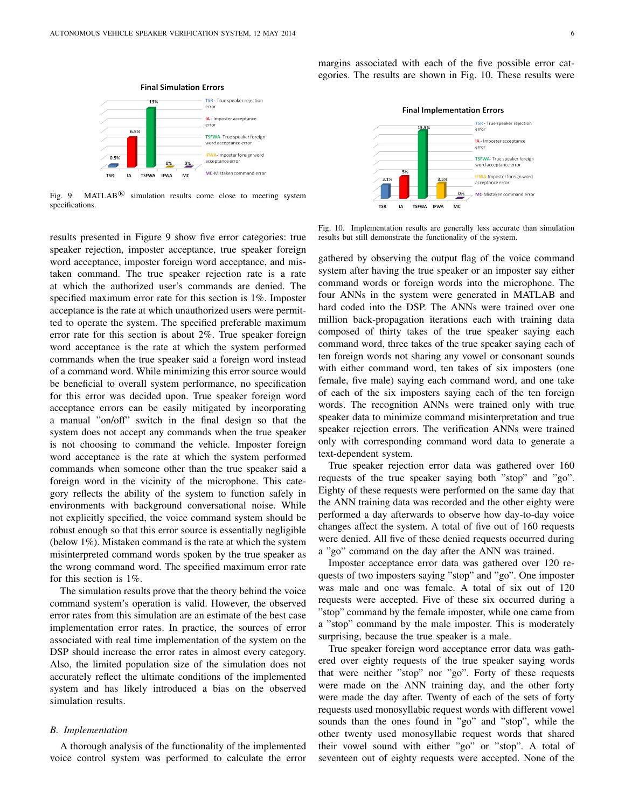

Fig. 9. MATLAB<sup>®</sup> simulation results come close to meeting system specifications.

results presented in Figure 9 show five error categories: true speaker rejection, imposter acceptance, true speaker foreign word acceptance, imposter foreign word acceptance, and mistaken command. The true speaker rejection rate is a rate at which the authorized user's commands are denied. The specified maximum error rate for this section is 1%. Imposter acceptance is the rate at which unauthorized users were permitted to operate the system. The specified preferable maximum error rate for this section is about 2%. True speaker foreign word acceptance is the rate at which the system performed commands when the true speaker said a foreign word instead of a command word. While minimizing this error source would be beneficial to overall system performance, no specification for this error was decided upon. True speaker foreign word acceptance errors can be easily mitigated by incorporating a manual "on/off" switch in the final design so that the system does not accept any commands when the true speaker is not choosing to command the vehicle. Imposter foreign word acceptance is the rate at which the system performed commands when someone other than the true speaker said a foreign word in the vicinity of the microphone. This category reflects the ability of the system to function safely in environments with background conversational noise. While not explicitly specified, the voice command system should be robust enough so that this error source is essentially negligible (below 1%). Mistaken command is the rate at which the system misinterpreted command words spoken by the true speaker as the wrong command word. The specified maximum error rate for this section is 1%.

The simulation results prove that the theory behind the voice command system's operation is valid. However, the observed error rates from this simulation are an estimate of the best case implementation error rates. In practice, the sources of error associated with real time implementation of the system on the DSP should increase the error rates in almost every category. Also, the limited population size of the simulation does not accurately reflect the ultimate conditions of the implemented system and has likely introduced a bias on the observed simulation results.

## *B. Implementation*

A thorough analysis of the functionality of the implemented voice control system was performed to calculate the error margins associated with each of the five possible error categories. The results are shown in Fig. 10. These results were



Fig. 10. Implementation results are generally less accurate than simulation results but still demonstrate the functionality of the system.

gathered by observing the output flag of the voice command system after having the true speaker or an imposter say either command words or foreign words into the microphone. The four ANNs in the system were generated in MATLAB and hard coded into the DSP. The ANNs were trained over one million back-propagation iterations each with training data composed of thirty takes of the true speaker saying each command word, three takes of the true speaker saying each of ten foreign words not sharing any vowel or consonant sounds with either command word, ten takes of six imposters (one female, five male) saying each command word, and one take of each of the six imposters saying each of the ten foreign words. The recognition ANNs were trained only with true speaker data to minimize command misinterpretation and true speaker rejection errors. The verification ANNs were trained only with corresponding command word data to generate a text-dependent system.

True speaker rejection error data was gathered over 160 requests of the true speaker saying both "stop" and "go". Eighty of these requests were performed on the same day that the ANN training data was recorded and the other eighty were performed a day afterwards to observe how day-to-day voice changes affect the system. A total of five out of 160 requests were denied. All five of these denied requests occurred during a "go" command on the day after the ANN was trained.

Imposter acceptance error data was gathered over 120 requests of two imposters saying "stop" and "go". One imposter was male and one was female. A total of six out of 120 requests were accepted. Five of these six occurred during a "stop" command by the female imposter, while one came from a "stop" command by the male imposter. This is moderately surprising, because the true speaker is a male.

True speaker foreign word acceptance error data was gathered over eighty requests of the true speaker saying words that were neither "stop" nor "go". Forty of these requests were made on the ANN training day, and the other forty were made the day after. Twenty of each of the sets of forty requests used monosyllabic request words with different vowel sounds than the ones found in "go" and "stop", while the other twenty used monosyllabic request words that shared their vowel sound with either "go" or "stop". A total of seventeen out of eighty requests were accepted. None of the